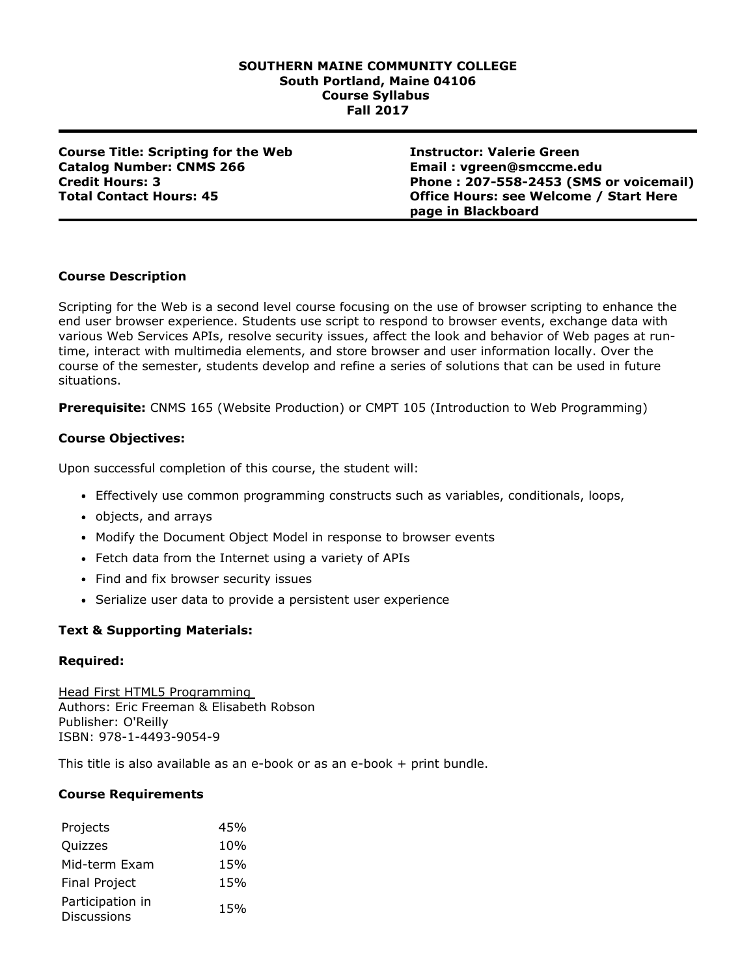## **SOUTHERN MAINE COMMUNITY COLLEGE South Portland, Maine 04106 Course Syllabus Fall 2017**

**Course Title: Scripting for the Web Catalog Number: CNMS 266 Credit Hours: 3 Total Contact Hours: 45**

**Instructor: Valerie Green Email : vgreen@smccme.edu Phone : 2075582453 (SMS or voicemail) Office Hours: see Welcome / Start Here page in Blackboard**

# **Course Description**

Scripting for the Web is a second level course focusing on the use of browser scripting to enhance the end user browser experience. Students use script to respond to browser events, exchange data with various Web Services APIs, resolve security issues, affect the look and behavior of Web pages at runtime, interact with multimedia elements, and store browser and user information locally. Over the course of the semester, students develop and refine a series of solutions that can be used in future situations.

**Prerequisite:** CNMS 165 (Website Production) or CMPT 105 (Introduction to Web Programming)

# **Course Objectives:**

Upon successful completion of this course, the student will:

- Effectively use common programming constructs such as variables, conditionals, loops,
- objects, and arrays
- Modify the Document Object Model in response to browser events
- Fetch data from the Internet using a variety of APIs
- Find and fix browser security issues
- Serialize user data to provide a persistent user experience

# **Text & Supporting Materials:**

## **Required:**

Head First HTML5 Programming Authors: Eric Freeman & Elisabeth Robson Publisher: O'Reilly ISBN: 978-1-4493-9054-9

This title is also available as an e-book or as an e-book  $+$  print bundle.

## **Course Requirements**

| Projects             | 45% |
|----------------------|-----|
| Quizzes              | 10% |
| Mid-term Exam        | 15% |
| <b>Final Project</b> | 15% |
| Participation in     | 15% |
| <b>Discussions</b>   |     |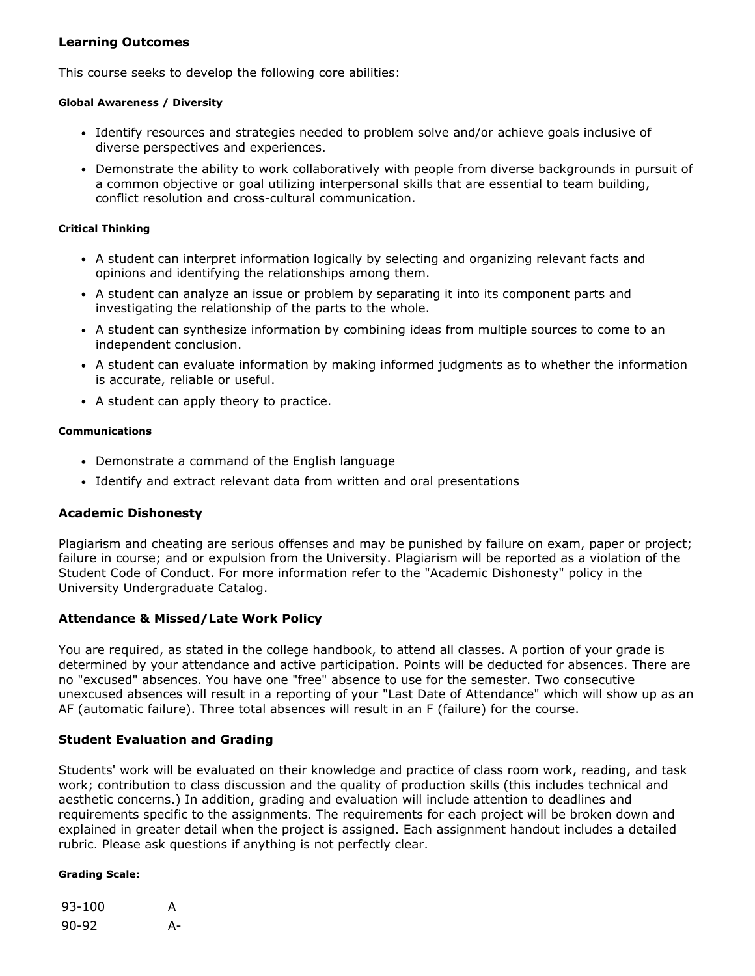# **Learning Outcomes**

This course seeks to develop the following core abilities:

## **Global Awareness / Diversity**

- Identify resources and strategies needed to problem solve and/or achieve goals inclusive of diverse perspectives and experiences.
- Demonstrate the ability to work collaboratively with people from diverse backgrounds in pursuit of a common objective or goal utilizing interpersonal skills that are essential to team building, conflict resolution and cross-cultural communication.

## **Critical Thinking**

- A student can interpret information logically by selecting and organizing relevant facts and opinions and identifying the relationships among them.
- A student can analyze an issue or problem by separating it into its component parts and investigating the relationship of the parts to the whole.
- A student can synthesize information by combining ideas from multiple sources to come to an independent conclusion.
- A student can evaluate information by making informed judgments as to whether the information is accurate, reliable or useful.
- A student can apply theory to practice.

## **Communications**

- Demonstrate a command of the English language
- Identify and extract relevant data from written and oral presentations

# **Academic Dishonesty**

Plagiarism and cheating are serious offenses and may be punished by failure on exam, paper or project; failure in course; and or expulsion from the University. Plagiarism will be reported as a violation of the Student Code of Conduct. For more information refer to the "Academic Dishonesty" policy in the University Undergraduate Catalog.

# **Attendance & Missed/Late Work Policy**

You are required, as stated in the college handbook, to attend all classes. A portion of your grade is determined by your attendance and active participation. Points will be deducted for absences. There are no "excused" absences. You have one "free" absence to use for the semester. Two consecutive unexcused absences will result in a reporting of your "Last Date of Attendance" which will show up as an AF (automatic failure). Three total absences will result in an F (failure) for the course.

# **Student Evaluation and Grading**

Students' work will be evaluated on their knowledge and practice of class room work, reading, and task work; contribution to class discussion and the quality of production skills (this includes technical and aesthetic concerns.) In addition, grading and evaluation will include attention to deadlines and requirements specific to the assignments. The requirements for each project will be broken down and explained in greater detail when the project is assigned. Each assignment handout includes a detailed rubric. Please ask questions if anything is not perfectly clear.

## **Grading Scale:**

| $93 - 100$ | A  |
|------------|----|
| $90 - 92$  | А- |